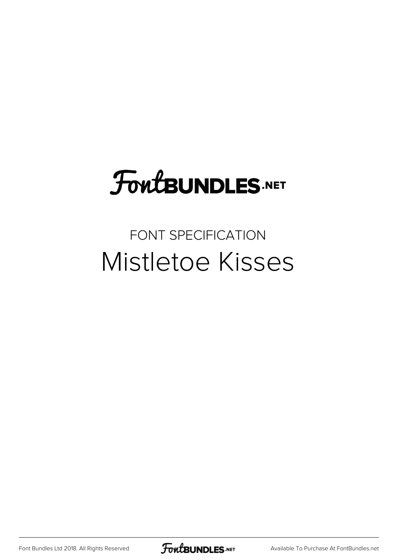# **FoutBUNDLES.NET**

### FONT SPECIFICATION Mistletoe Kisses

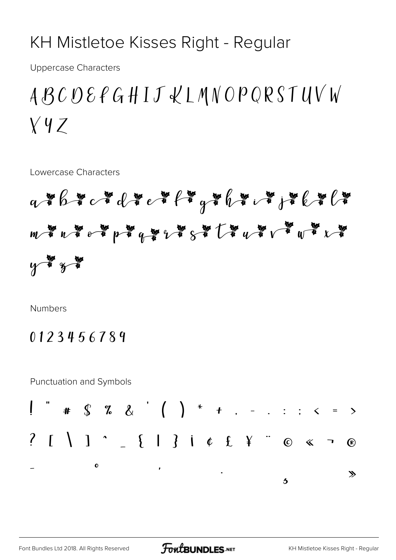#### KH Mistletoe Kisses Right - Regular

**Uppercase Characters** 

# $A$   $B$   $C$   $D$   $E$   $F$   $G$   $H$   $I$   $J$   $K$   $L$   $M$   $N$   $O$   $P$   $Q$   $R$   $S$   $T$   $UV$   $W$  $Y4Z$

Lowercase Characters



**Numbers** 

0123456789

**Punctuation and Symbols** 

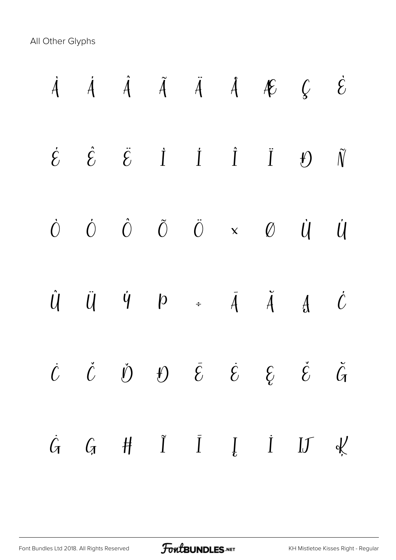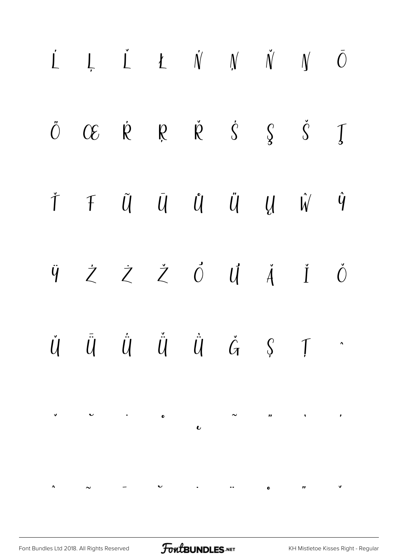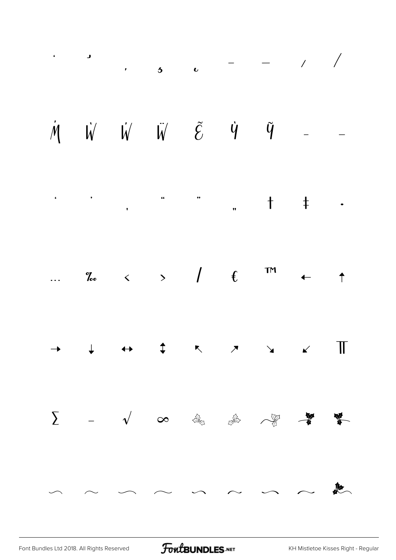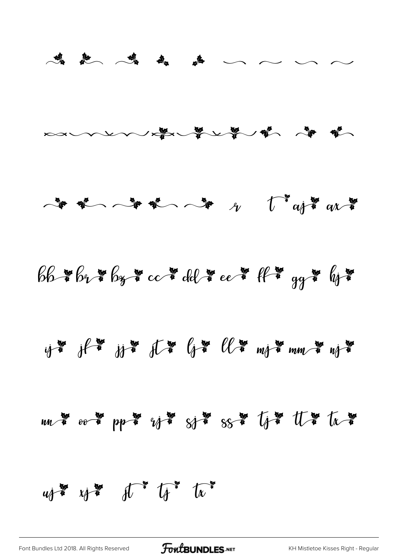

[Font Bundles Ltd 2018. All Rights Reserved](https://fontbundles.net/) **FoutBUNDLES.NET** [KH Mistletoe Kisses Right - Regular](https://fontbundles.net/)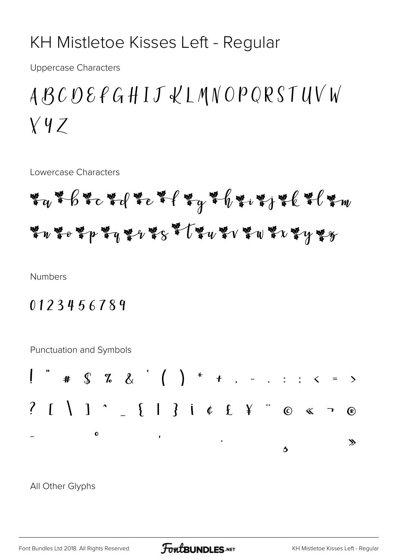#### KH Mistletoe Kisses Left - Regular

**Uppercase Characters** 

# ABCDEFGHIJKLMNOPQRSTUVW  $Y4Z$

Lowercase Characters



**Numbers** 

#### 0123456789

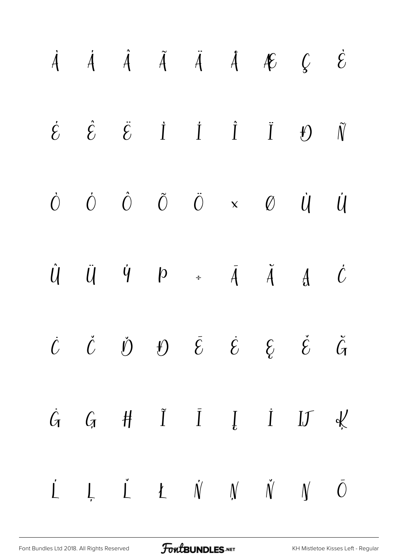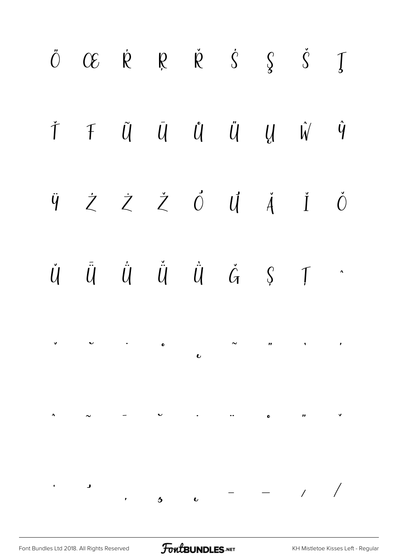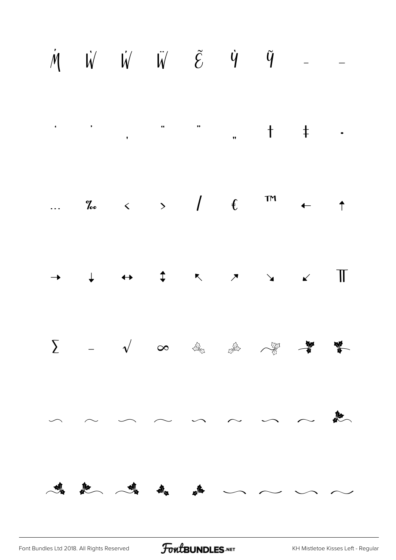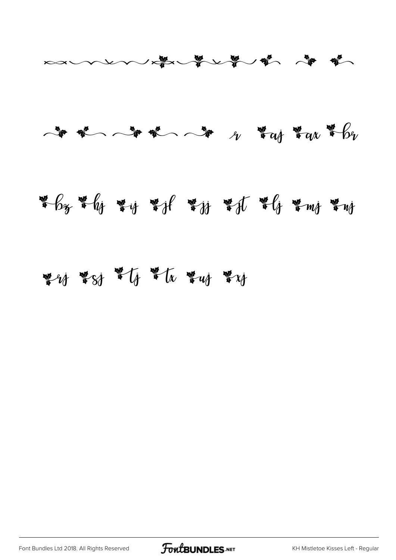



### $\ast\mathcal{C}_3$   $\ast\mathcal{C}_4$   $\ast\mathcal{C}_3$   $\ast\mathcal{C}_4$   $\ast\mathcal{C}_5$   $\ast\mathcal{C}_6$   $\ast\mathcal{C}_7$   $\ast\mathcal{C}_8$

#### $x_{ij}$   $x_{5j}$   $x_{lj}$   $x_{lk}$   $x_{uj}$   $x_{ij}$

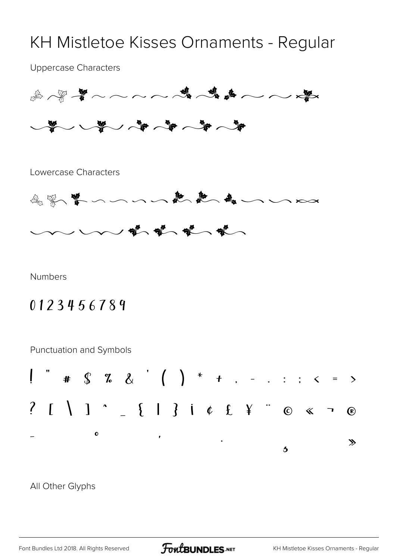#### KH Mistletoe Kisses Ornaments - Regular

**Uppercase Characters** 第一章十八八八点 大小人人家 一家一家一家 Lowercase Characters いついつきもう 4 % ¥ 人名弗尔尔尔

**Numbers** 

#### 0123456789

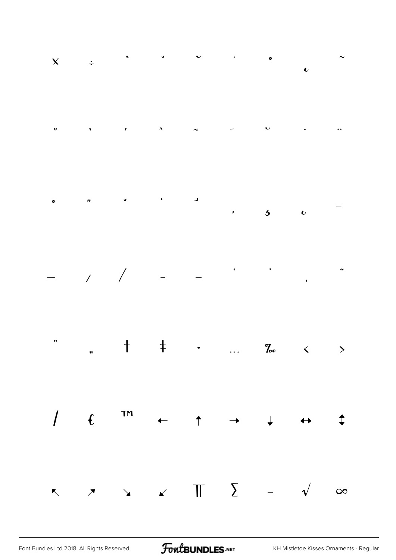

[Font Bundles Ltd 2018. All Rights Reserved](https://fontbundles.net/) **FoutBUNDLES.NET** [KH Mistletoe Kisses Ornaments - Regular](https://fontbundles.net/)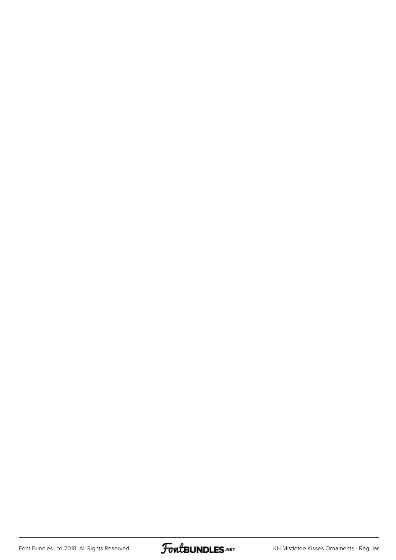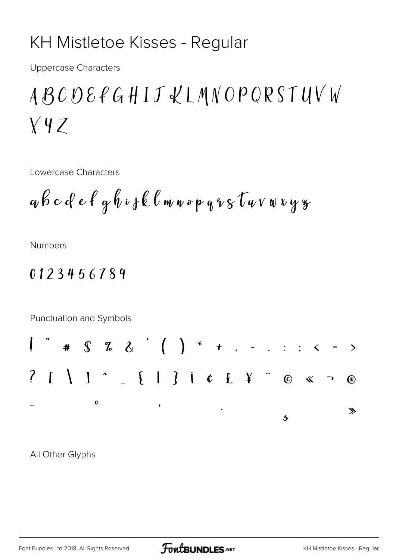#### KH Mistletoe Kisses - Regular

**Uppercase Characters** 

# ABCDEFGHIJKLMNOPQRSTUVW  $Y4Z$

Lowercase Characters

$$
q\, \beta\, c\, d\, e\, f\, g\, \emptyset\, \nu\, j\, \emptyset\, \ell\, m\, w\, e\, p\, q\, v\, s\, \tau\, w\, v\, w\, v\, y\, s
$$

**Numbers** 

#### 0123456789

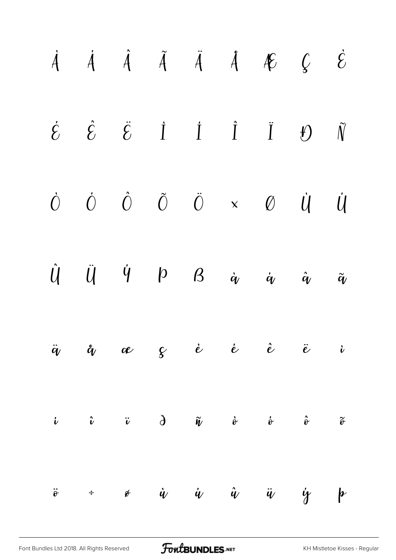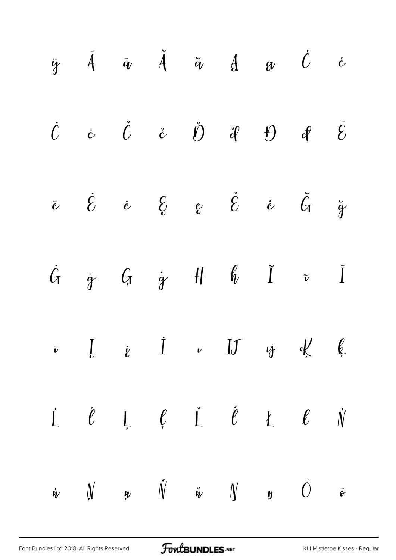|  |  |  | $\ddot{y}$ $\bar{A}$ $\bar{\alpha}$ $\ddot{A}$ $\ddot{\alpha}$ $\dot{A}$ $\alpha$ $\dot{C}$ $\dot{c}$                                                                                                             |  |
|--|--|--|-------------------------------------------------------------------------------------------------------------------------------------------------------------------------------------------------------------------|--|
|  |  |  | $\dot{\mathcal{L}}$ $\dot{c}$ $\dot{\mathcal{L}}$ $\dot{c}$ $\dot{\mathcal{D}}$ $\dot{\mathcal{A}}$ $\mathcal{D}$ $\dot{\mathcal{d}}$ $\bar{\mathcal{E}}$                                                         |  |
|  |  |  | $\overline{e}$ $\overline{e}$ $\overline{e}$ $\overline{e}$ $\overline{e}$ $\overline{e}$ $\overline{e}$ $\overline{q}$ $\overline{q}$                                                                            |  |
|  |  |  | $\dot{G}$ $\dot{g}$ $G$ $\dot{g}$ $H$ $\dot{\theta}$ $\tilde{I}$ $\tilde{v}$ $\overline{I}$                                                                                                                       |  |
|  |  |  | $\overline{v}$ $\overline{L}$ $\overline{z}$ $\overline{1}$ $\overline{v}$ $\overline{w}$ $\overline{w}$ $\overline{w}$ $\overline{w}$ $\overline{w}$ $\overline{w}$ $\overline{w}$ $\overline{w}$ $\overline{w}$ |  |
|  |  |  | $\begin{array}{cccccccccccccc} \dot{L} & \dot{\ell} & \dot{L} & \dot{\ell} & \dot{L} & \dot{\ell} & \dot{L} & \ell & \dot{N} \end{array}$                                                                         |  |
|  |  |  | <i>i N n</i> $\check{N}$ <i>i i N n i N n i j</i>                                                                                                                                                                 |  |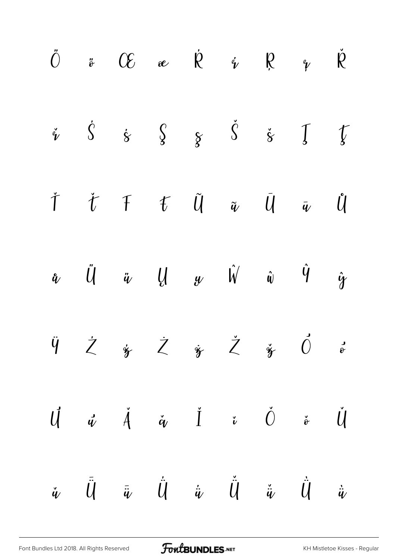|  | $\ddot{O}$ & $\ddot{C}$ as $\dot{R}$ if $\ddot{R}$ if $\ddot{R}$ if $\ddot{R}$                                                                                                                                                                                              |  |  |  |
|--|-----------------------------------------------------------------------------------------------------------------------------------------------------------------------------------------------------------------------------------------------------------------------------|--|--|--|
|  | $\dot{v}$ $\dot{S}$ $\dot{s}$ $\zeta$ $\dot{S}$ $\dot{S}$ $\dot{I}$ $\dot{I}$                                                                                                                                                                                               |  |  |  |
|  | $\begin{array}{ccccccccccccc}\n\dot{\uparrow} & \dot{\uparrow} & \mathbf{f} & \mathbf{f} & \mathbf{0} & \mathbf{0} & \mathbf{0} & \mathbf{0}\n\end{array} \begin{array}{ccccccccccccc}\n\ddot{\mathbf{u}} & \mathbf{0} & \mathbf{0} & \mathbf{0} & \mathbf{0}\n\end{array}$ |  |  |  |
|  | $\hat{u}$ $\ddot{\theta}$ $\ddot{u}$ $\theta$ $\theta$ $\dot{\theta}$ $\dot{\theta}$ $\dot{\theta}$                                                                                                                                                                         |  |  |  |
|  | $\ddot{y} \quad \dot{z} \quad \dot{y} \quad \dot{z} \quad \dot{y} \quad \dot{z} \quad \dot{y} \quad \dot{0} \quad \dot{0}$                                                                                                                                                  |  |  |  |
|  | $\begin{array}{ccccccccc}\n\vec{u} & \vec{u} & \vec{A} & \vec{u} & \vec{I} & \vec{u} & \vec{O} & \vec{u} & \vec{U}\n\end{array}$                                                                                                                                            |  |  |  |
|  | $\dot{u}$ $\dot{\bar{u}}$ $\ddot{u}$ $\dot{\bar{u}}$ $\dot{\bar{u}}$ $\dot{\bar{u}}$ $\ddot{\bar{u}}$ $\dot{\bar{u}}$ $\dot{\bar{u}}$ $\dot{\bar{u}}$                                                                                                                       |  |  |  |

[Font Bundles Ltd 2018. All Rights Reserved](https://fontbundles.net/) **FoutBUNDLES.NET** [KH Mistletoe Kisses - Regular](https://fontbundles.net/)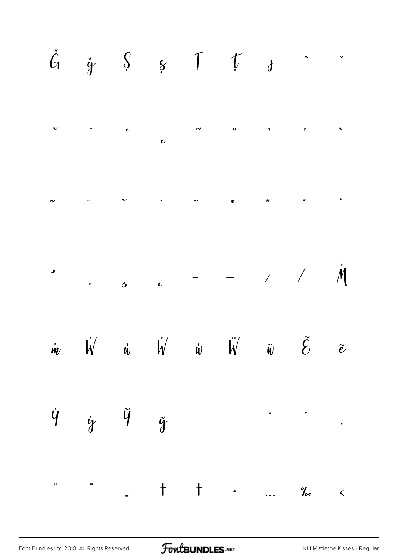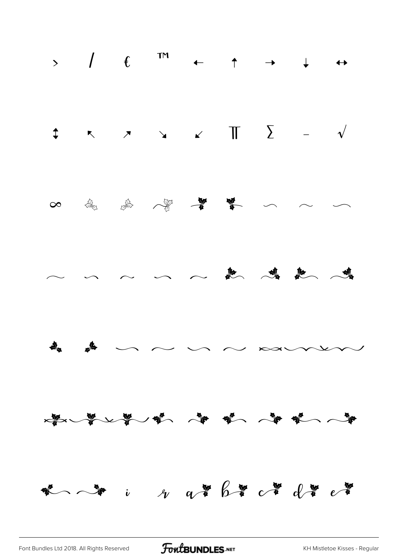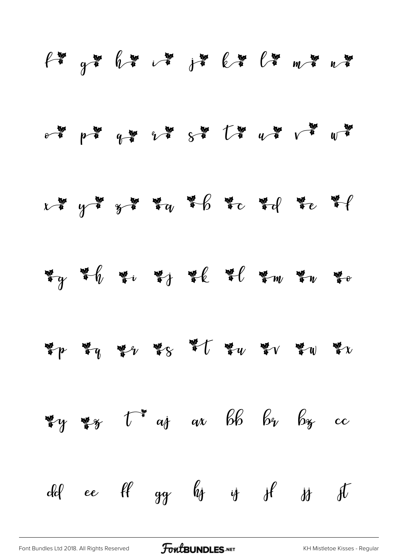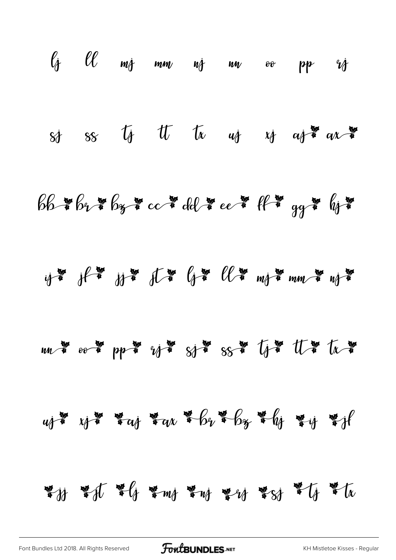